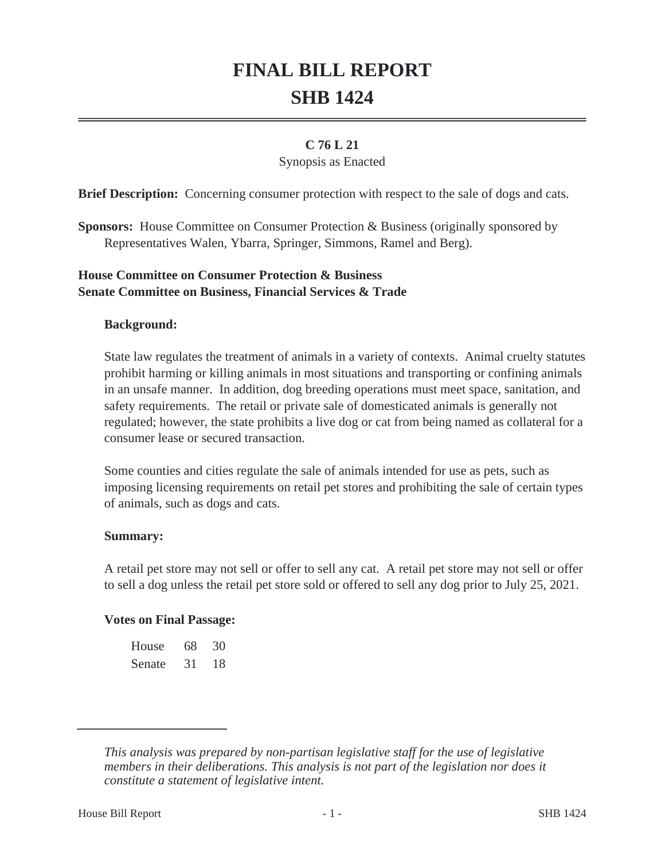# **FINAL BILL REPORT SHB 1424**

# **C 76 L 21**

## Synopsis as Enacted

**Brief Description:** Concerning consumer protection with respect to the sale of dogs and cats.

**Sponsors:** House Committee on Consumer Protection & Business (originally sponsored by Representatives Walen, Ybarra, Springer, Simmons, Ramel and Berg).

## **House Committee on Consumer Protection & Business Senate Committee on Business, Financial Services & Trade**

### **Background:**

State law regulates the treatment of animals in a variety of contexts. Animal cruelty statutes prohibit harming or killing animals in most situations and transporting or confining animals in an unsafe manner. In addition, dog breeding operations must meet space, sanitation, and safety requirements. The retail or private sale of domesticated animals is generally not regulated; however, the state prohibits a live dog or cat from being named as collateral for a consumer lease or secured transaction.

Some counties and cities regulate the sale of animals intended for use as pets, such as imposing licensing requirements on retail pet stores and prohibiting the sale of certain types of animals, such as dogs and cats.

#### **Summary:**

A retail pet store may not sell or offer to sell any cat. A retail pet store may not sell or offer to sell a dog unless the retail pet store sold or offered to sell any dog prior to July 25, 2021.

#### **Votes on Final Passage:**

| House  | 68 | 30 |
|--------|----|----|
| Senate | 31 | 18 |

*This analysis was prepared by non-partisan legislative staff for the use of legislative members in their deliberations. This analysis is not part of the legislation nor does it constitute a statement of legislative intent.*